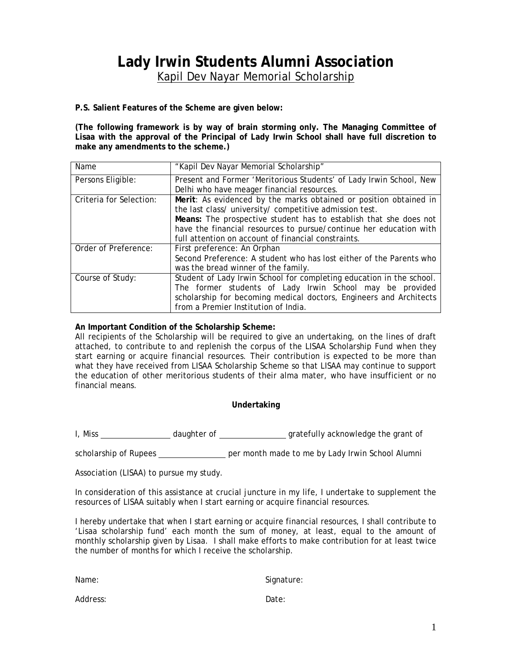## **Lady Irwin Students Alumni Association**  Kapil Dev Nayar Memorial Scholarship

**P.S. Salient Features of the Scheme are given below:**

**(The following framework is by way of brain storming only. The Managing Committee of Lisaa with the approval of the Principal of Lady Irwin School shall have full discretion to make any amendments to the scheme.)** 

| Name                    | "Kapil Dev Nayar Memorial Scholarship"                               |
|-------------------------|----------------------------------------------------------------------|
| Persons Eligible:       | Present and Former 'Meritorious Students' of Lady Irwin School, New  |
|                         | Delhi who have meager financial resources.                           |
| Criteria for Selection: | Merit: As evidenced by the marks obtained or position obtained in    |
|                         | the last class/ university/ competitive admission test.              |
|                         | Means: The prospective student has to establish that she does not    |
|                         | have the financial resources to pursue/continue her education with   |
|                         | full attention on account of financial constraints.                  |
| Order of Preference:    | First preference: An Orphan                                          |
|                         | Second Preference: A student who has lost either of the Parents who  |
|                         | was the bread winner of the family.                                  |
| Course of Study:        | Student of Lady Irwin School for completing education in the school. |
|                         | The former students of Lady Irwin School may be provided             |
|                         | scholarship for becoming medical doctors, Engineers and Architects   |
|                         | from a Premier Institution of India.                                 |

### **An Important Condition of the Scholarship Scheme:**

All recipients of the Scholarship will be required to give an undertaking, on the lines of draft attached, to contribute to and replenish the corpus of the LISAA Scholarship Fund when they start earning or acquire financial resources. Their contribution is expected to be more than what they have received from LISAA Scholarship Scheme so that LISAA may continue to support the education of other meritorious students of their alma mater, who have insufficient or no financial means.

### **Undertaking**

I, Miss \_\_\_\_\_\_\_\_\_\_\_\_\_\_\_\_\_\_\_\_\_\_\_daughter of \_\_\_\_\_\_\_\_\_\_\_\_\_\_\_\_\_\_\_\_\_gratefully acknowledge the grant of

scholarship of Rupees \_\_\_\_\_\_\_\_\_\_\_\_\_\_\_\_ per month made to me by Lady Irwin School Alumni

Association (LISAA) to pursue my study.

In consideration of this assistance at crucial juncture in my life, I undertake to supplement the resources of LISAA suitably when I start earning or acquire financial resources.

I hereby undertake that when I start earning or acquire financial resources, I shall contribute to 'Lisaa scholarship fund' each month the sum of money, at least, equal to the amount of monthly scholarship given by Lisaa. I shall make efforts to make contribution for at least twice the number of months for which I receive the scholarship.

Name: Signature:

Address: Date: